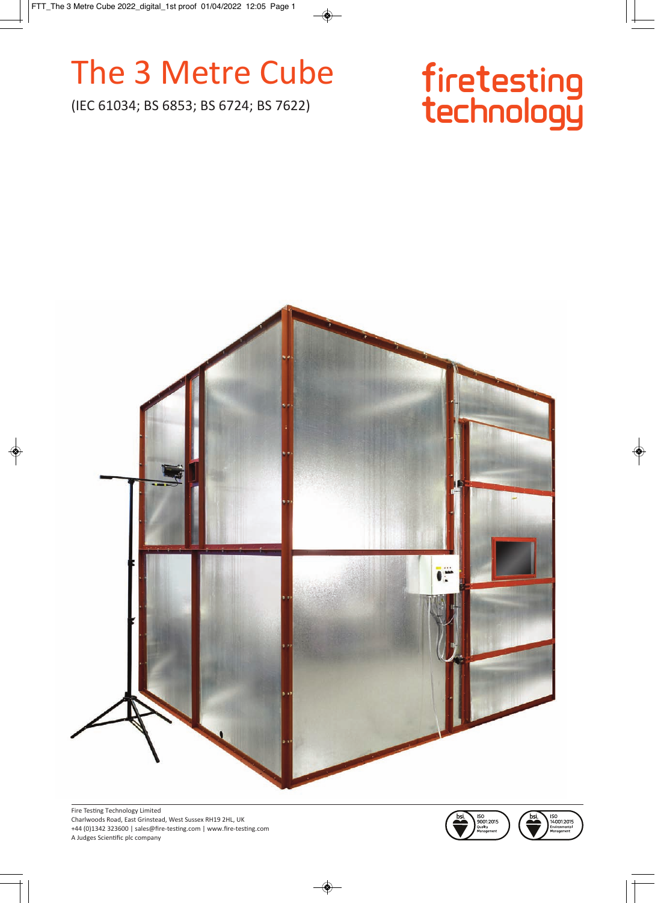# The 3 Metre Cube

(IEC 61034; BS 6853; BS 6724; BS 7622)

# firetesting<br>technology





ISO<br>14001:2015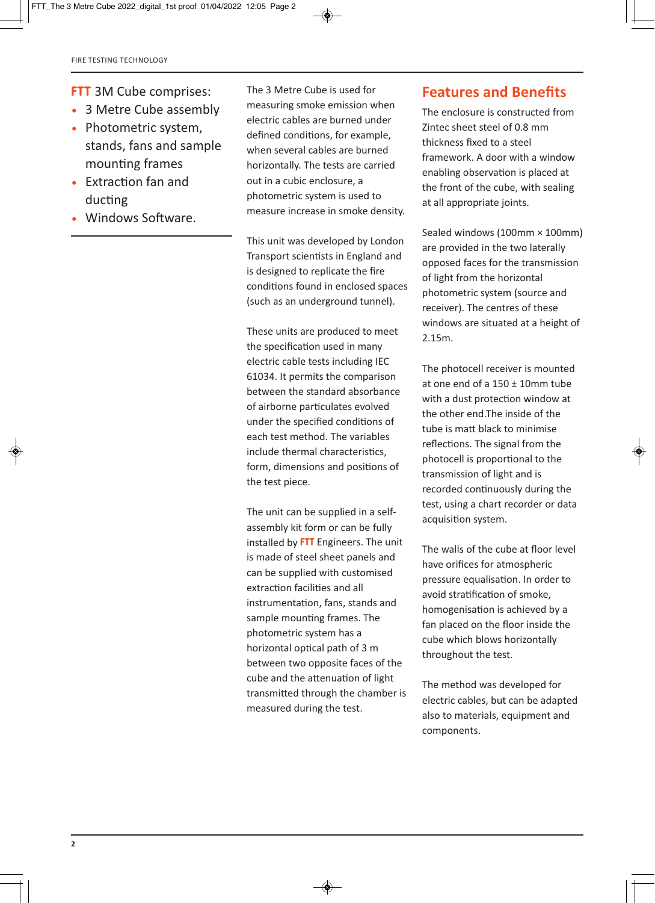- **FTT** 3M Cube comprises:
- 3 Metre Cube assembly
- Photometric system, stands, fans and sample mounting frames
- Extraction fan and ducting
- Windows Software.

The 3 Metre Cube is used for measuring smoke emission when electric cables are burned under defined conditions, for example, when several cables are burned horizontally. The tests are carried out in a cubic enclosure, a photometric system is used to measure increase in smoke density.

This unit was developed by London Transport scientists in England and is designed to replicate the fire conditions found in enclosed spaces (such as an underground tunnel).

These units are produced to meet the specification used in many electric cable tests including IEC 61034. It permits the comparison between the standard absorbance of airborne particulates evolved under the specified conditions of each test method. The variables include thermal characteristics, form, dimensions and positions of the test piece.

The unit can be supplied in a selfassembly kit form or can be fully installed by **FTT** Engineers. The unit is made of steel sheet panels and can be supplied with customised extraction facilities and all instrumentation, fans, stands and sample mounting frames. The photometric system has a horizontal optical path of 3 m between two opposite faces of the cube and the attenuation of light transmitted through the chamber is measured during the test.

#### **Features and Benefits**

The enclosure is constructed from Zintec sheet steel of 0.8 mm thickness fixed to a steel framework. A door with a window enabling observation is placed at the front of the cube, with sealing at all appropriate joints.

Sealed windows (100mm × 100mm) are provided in the two laterally opposed faces for the transmission of light from the horizontal photometric system (source and receiver). The centres of these windows are situated at a height of 2.15m.

The photocell receiver is mounted at one end of a 150 ± 10mm tube with a dust protection window at the other end.The inside of the tube is matt black to minimise reflections. The signal from the photocell is proportional to the transmission of light and is recorded continuously during the test, using a chart recorder or data acquisition system.

The walls of the cube at floor level have orifices for atmospheric pressure equalisation. In order to avoid stratification of smoke, homogenisation is achieved by a fan placed on the floor inside the cube which blows horizontally throughout the test.

The method was developed for electric cables, but can be adapted also to materials, equipment and components.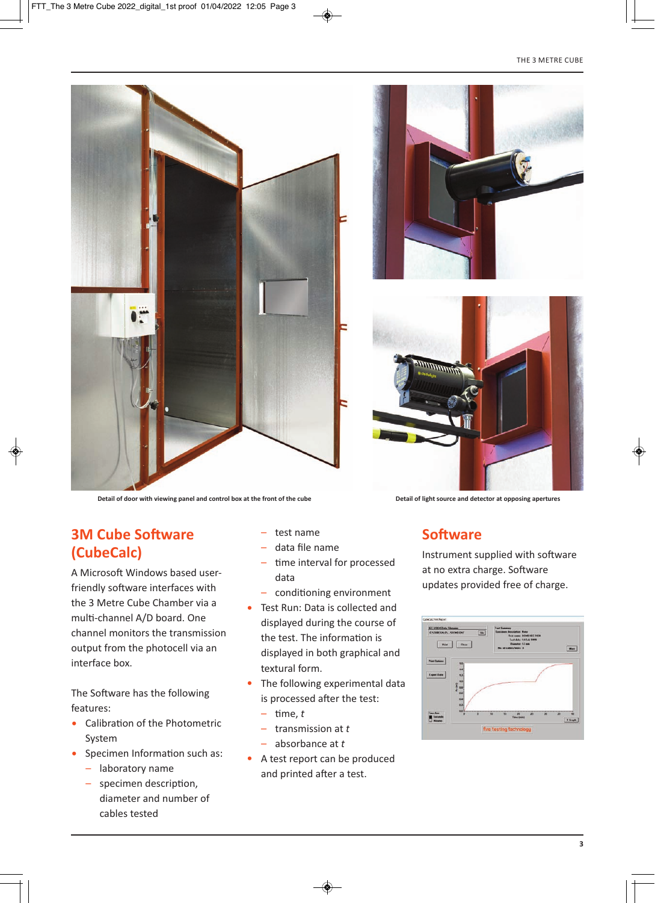





**Detail of door with viewing panel and control box at the front of the cube Detail of light source and detector at opposing apertures**

#### **3M Cube Software (CubeCalc)**

A Microsoft Windows based userfriendly software interfaces with the 3 Metre Cube Chamber via a multi-channel A/D board. One channel monitors the transmission output from the photocell via an interface box.

The Software has the following features:

- Calibration of the Photometric System
- Specimen Information such as:
	- laboratory name
	- specimen description, diameter and number of cables tested
- test name
- data file name
- time interval for processed data
- conditioning environment
- Test Run: Data is collected and displayed during the course of the test. The information is displayed in both graphical and textural form.
- The following experimental data is processed after the test:
	- time, *t*
	- transmission at *t*
	- absorbance at *t*
- A test report can be produced and printed after a test.

#### **Software**

Instrument supplied with software at no extra charge. Software updates provided free of charge.

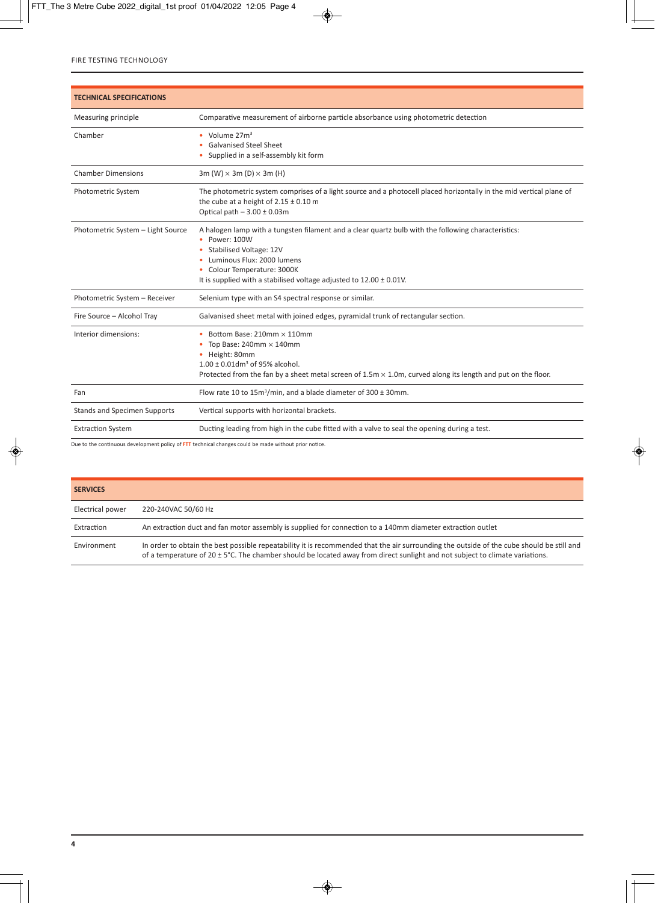| <b>TECHNICAL SPECIFICATIONS</b>     |                                                                                                                                                                                                                                                                                      |
|-------------------------------------|--------------------------------------------------------------------------------------------------------------------------------------------------------------------------------------------------------------------------------------------------------------------------------------|
| Measuring principle                 | Comparative measurement of airborne particle absorbance using photometric detection                                                                                                                                                                                                  |
| Chamber                             | • Volume $27m3$<br><b>Galvanised Steel Sheet</b><br>Supplied in a self-assembly kit form                                                                                                                                                                                             |
| <b>Chamber Dimensions</b>           | 3m (W) $\times$ 3m (D) $\times$ 3m (H)                                                                                                                                                                                                                                               |
| Photometric System                  | The photometric system comprises of a light source and a photocell placed horizontally in the mid vertical plane of<br>the cube at a height of $2.15 \pm 0.10$ m<br>Optical path $-3.00 \pm 0.03$ m                                                                                  |
| Photometric System - Light Source   | A halogen lamp with a tungsten filament and a clear quartz bulb with the following characteristics:<br>Power: 100W<br>Stabilised Voltage: 12V<br>Luminous Flux: 2000 lumens<br>Colour Temperature: 3000K<br>It is supplied with a stabilised voltage adjusted to $12.00 \pm 0.01$ V. |
| Photometric System - Receiver       | Selenium type with an S4 spectral response or similar.                                                                                                                                                                                                                               |
| Fire Source - Alcohol Tray          | Galvanised sheet metal with joined edges, pyramidal trunk of rectangular section.                                                                                                                                                                                                    |
| Interior dimensions:                | Bottom Base: 210mm × 110mm<br>Top Base: $240$ mm $\times$ $140$ mm<br>• Height: 80mm<br>$1.00 \pm 0.01$ dm <sup>3</sup> of 95% alcohol.<br>Protected from the fan by a sheet metal screen of $1.5m \times 1.0m$ , curved along its length and put on the floor.                      |
| Fan                                 | Flow rate 10 to $15m^3/min$ , and a blade diameter of 300 ± 30mm.                                                                                                                                                                                                                    |
| <b>Stands and Specimen Supports</b> | Vertical supports with horizontal brackets.                                                                                                                                                                                                                                          |
| <b>Extraction System</b>            | Ducting leading from high in the cube fitted with a valve to seal the opening during a test.                                                                                                                                                                                         |

Due to the continuous development policy of **FTT** technical changes could be made without prior notice.

| <b>SERVICES</b>  |                                                                                                                                                                                                                                                                           |
|------------------|---------------------------------------------------------------------------------------------------------------------------------------------------------------------------------------------------------------------------------------------------------------------------|
| Electrical power | 220-240VAC 50/60 Hz                                                                                                                                                                                                                                                       |
| Extraction       | An extraction duct and fan motor assembly is supplied for connection to a 140mm diameter extraction outlet                                                                                                                                                                |
| Environment      | In order to obtain the best possible repeatability it is recommended that the air surrounding the outside of the cube should be still and<br>of a temperature of 20 ± 5°C. The chamber should be located away from direct sunlight and not subject to climate variations. |